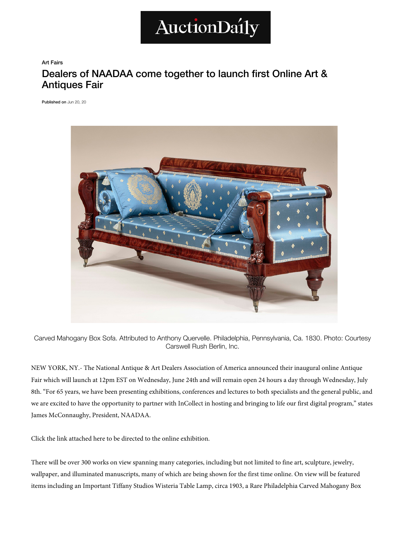

Art Fairs

## Dealers of NAADAA come together to launch first Online Art & Antiques Fair

[Published on](https://www.facebook.com/sharer/sharer.php?u=https://auctiondaily.com/news/dealers-of-naadaa-come-together-to-launch-first-online-art-antiques-fair/) Jun 20, 20



Carved Mahogany Box Sofa. Attributed to Anthony Quervelle. Philadelphia, Pennsylvania, Ca. 1830. Photo: Cour[tesy](https://auctiondaily.com/tag/juliette-moutard/)  Carswell Rush Berlin, Inc.

NEW YORK, NY.- The National Antique & Art Dealers Association of America announced their inaugural online Antiq[ue](https://auctiondaily.com/tag/les-enluminures/)  Fair which will launch at 12pm EST on Wednesday, June 24th and will remain open 24 hours a day through Wednesday, [July](https://auctiondaily.com/tag/lillian-nassau-llc/)  8th. "For 65 years, we have been presenting exhibitions, conferences and lectures to both specialists and the general public, and we are excited to have the opportunity to partner with InCollect in hosting and bringing to life our first digital program," [states](https://auctiondaily.com/tag/mary-helen-mccoy-fine-antiques/)  James McConnaughy, President, NAADAA.

Click the link attached here to be directed to the online exhibition.

There will be over 300 works on view spanning many categories, including but not limited to fine art, sculpture, jewelry, wallpaper, and illuminated manuscripts, many of which are being shown for the first time online. On view will be feature[d](https://auctiondaily.com/tag/vareika-fine-arts-ltd/)  items including an Important Tiffany Studios Wisteria Table Lamp, circa 1903, a Rare Philadelphia Carved Mahogany Box